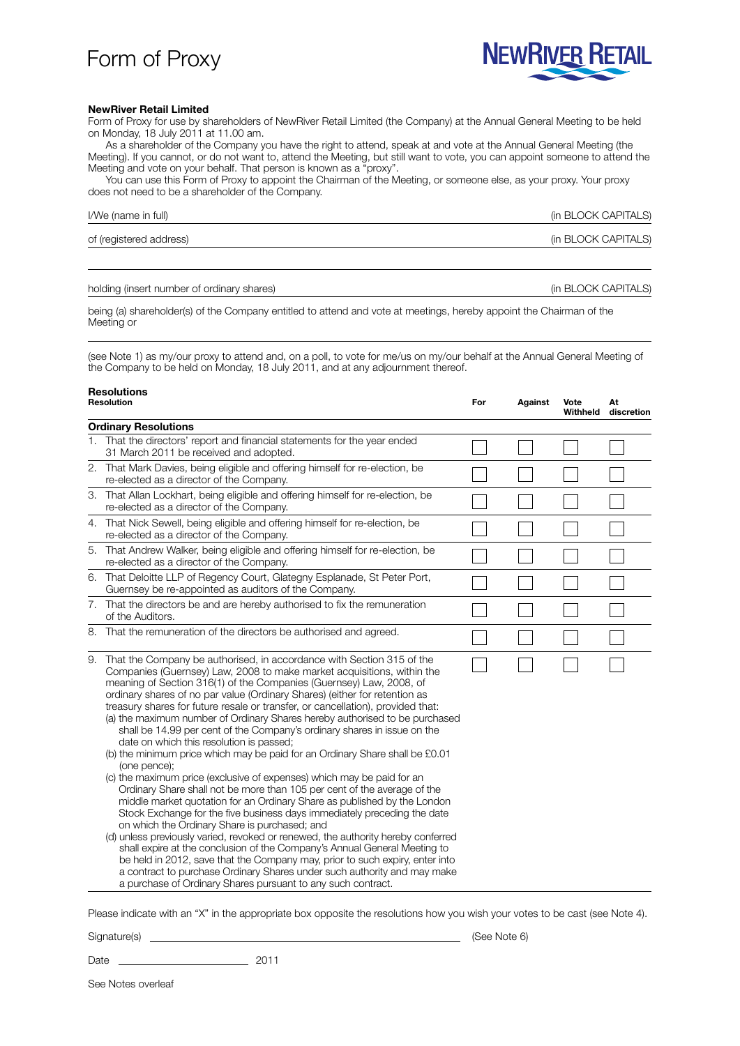## Form of Proxy



## **NewRiver Retail Limited**

Form of Proxy for use by shareholders of NewRiver Retail Limited (the Company) at the Annual General Meeting to be held on Monday, 18 July 2011 at 11.00 am.

As a shareholder of the Company you have the right to attend, speak at and vote at the Annual General Meeting (the Meeting). If you cannot, or do not want to, attend the Meeting, but still want to vote, you can appoint someone to attend the Meeting and vote on your behalf. That person is known as a "proxy".

You can use this Form of Proxy to appoint the Chairman of the Meeting, or someone else, as your proxy. Your proxy does not need to be a shareholder of the Company.

| I/We (name in full)     | (in BLOCK CAPITALS) |
|-------------------------|---------------------|
| of (registered address) | (in BLOCK CAPITALS) |

holding (insert number of ordinary shares) and the state of the state of ordinary shares) (in BLOCK CAPITALS)

being (a) shareholder(s) of the Company entitled to attend and vote at meetings, hereby appoint the Chairman of the Meeting or

(see Note 1) as my/our proxy to attend and, on a poll, to vote for me/us on my/our behalf at the Annual General Meeting of the Company to be held on Monday, 18 July 2011, and at any adjournment thereof.

| <b>Resolutions</b><br>Resolution |                                                                                                                                                                                                                                                                                                                                                                                                                                                                                                                                                                                                                                                                                                                                                                                                                                                                                                                                                                                                                                                                                                                                                                                                                                                                                                                                                                                                                                                               | For | Against | Vote<br>Withheld | At<br>discretion |  |  |
|----------------------------------|---------------------------------------------------------------------------------------------------------------------------------------------------------------------------------------------------------------------------------------------------------------------------------------------------------------------------------------------------------------------------------------------------------------------------------------------------------------------------------------------------------------------------------------------------------------------------------------------------------------------------------------------------------------------------------------------------------------------------------------------------------------------------------------------------------------------------------------------------------------------------------------------------------------------------------------------------------------------------------------------------------------------------------------------------------------------------------------------------------------------------------------------------------------------------------------------------------------------------------------------------------------------------------------------------------------------------------------------------------------------------------------------------------------------------------------------------------------|-----|---------|------------------|------------------|--|--|
| <b>Ordinary Resolutions</b>      |                                                                                                                                                                                                                                                                                                                                                                                                                                                                                                                                                                                                                                                                                                                                                                                                                                                                                                                                                                                                                                                                                                                                                                                                                                                                                                                                                                                                                                                               |     |         |                  |                  |  |  |
|                                  | 1. That the directors' report and financial statements for the year ended<br>31 March 2011 be received and adopted.                                                                                                                                                                                                                                                                                                                                                                                                                                                                                                                                                                                                                                                                                                                                                                                                                                                                                                                                                                                                                                                                                                                                                                                                                                                                                                                                           |     |         |                  |                  |  |  |
|                                  | 2. That Mark Davies, being eligible and offering himself for re-election, be<br>re-elected as a director of the Company.                                                                                                                                                                                                                                                                                                                                                                                                                                                                                                                                                                                                                                                                                                                                                                                                                                                                                                                                                                                                                                                                                                                                                                                                                                                                                                                                      |     |         |                  |                  |  |  |
|                                  | 3. That Allan Lockhart, being eligible and offering himself for re-election, be<br>re-elected as a director of the Company.                                                                                                                                                                                                                                                                                                                                                                                                                                                                                                                                                                                                                                                                                                                                                                                                                                                                                                                                                                                                                                                                                                                                                                                                                                                                                                                                   |     |         |                  |                  |  |  |
|                                  | 4. That Nick Sewell, being eligible and offering himself for re-election, be<br>re-elected as a director of the Company.                                                                                                                                                                                                                                                                                                                                                                                                                                                                                                                                                                                                                                                                                                                                                                                                                                                                                                                                                                                                                                                                                                                                                                                                                                                                                                                                      |     |         |                  |                  |  |  |
|                                  | 5. That Andrew Walker, being eligible and offering himself for re-election, be<br>re-elected as a director of the Company.                                                                                                                                                                                                                                                                                                                                                                                                                                                                                                                                                                                                                                                                                                                                                                                                                                                                                                                                                                                                                                                                                                                                                                                                                                                                                                                                    |     |         |                  |                  |  |  |
|                                  | 6. That Deloitte LLP of Regency Court, Glategny Esplanade, St Peter Port,<br>Guernsey be re-appointed as auditors of the Company.                                                                                                                                                                                                                                                                                                                                                                                                                                                                                                                                                                                                                                                                                                                                                                                                                                                                                                                                                                                                                                                                                                                                                                                                                                                                                                                             |     |         |                  |                  |  |  |
|                                  | 7. That the directors be and are hereby authorised to fix the remuneration<br>of the Auditors.                                                                                                                                                                                                                                                                                                                                                                                                                                                                                                                                                                                                                                                                                                                                                                                                                                                                                                                                                                                                                                                                                                                                                                                                                                                                                                                                                                |     |         |                  |                  |  |  |
|                                  | 8. That the remuneration of the directors be authorised and agreed.                                                                                                                                                                                                                                                                                                                                                                                                                                                                                                                                                                                                                                                                                                                                                                                                                                                                                                                                                                                                                                                                                                                                                                                                                                                                                                                                                                                           |     |         |                  |                  |  |  |
|                                  | 9. That the Company be authorised, in accordance with Section 315 of the<br>Companies (Guernsey) Law, 2008 to make market acquisitions, within the<br>meaning of Section 316(1) of the Companies (Guernsey) Law, 2008, of<br>ordinary shares of no par value (Ordinary Shares) (either for retention as<br>treasury shares for future resale or transfer, or cancellation), provided that:<br>(a) the maximum number of Ordinary Shares hereby authorised to be purchased<br>shall be 14.99 per cent of the Company's ordinary shares in issue on the<br>date on which this resolution is passed;<br>(b) the minimum price which may be paid for an Ordinary Share shall be £0.01<br>(one pence);<br>(c) the maximum price (exclusive of expenses) which may be paid for an<br>Ordinary Share shall not be more than 105 per cent of the average of the<br>middle market quotation for an Ordinary Share as published by the London<br>Stock Exchange for the five business days immediately preceding the date<br>on which the Ordinary Share is purchased; and<br>(d) unless previously varied, revoked or renewed, the authority hereby conferred<br>shall expire at the conclusion of the Company's Annual General Meeting to<br>be held in 2012, save that the Company may, prior to such expiry, enter into<br>a contract to purchase Ordinary Shares under such authority and may make<br>a purchase of Ordinary Shares pursuant to any such contract. |     |         |                  |                  |  |  |

Please indicate with an "X" in the appropriate box opposite the resolutions how you wish your votes to be cast (see Note 4).

Signature(s) (See Note 6)

Date 2011

See Notes overleaf